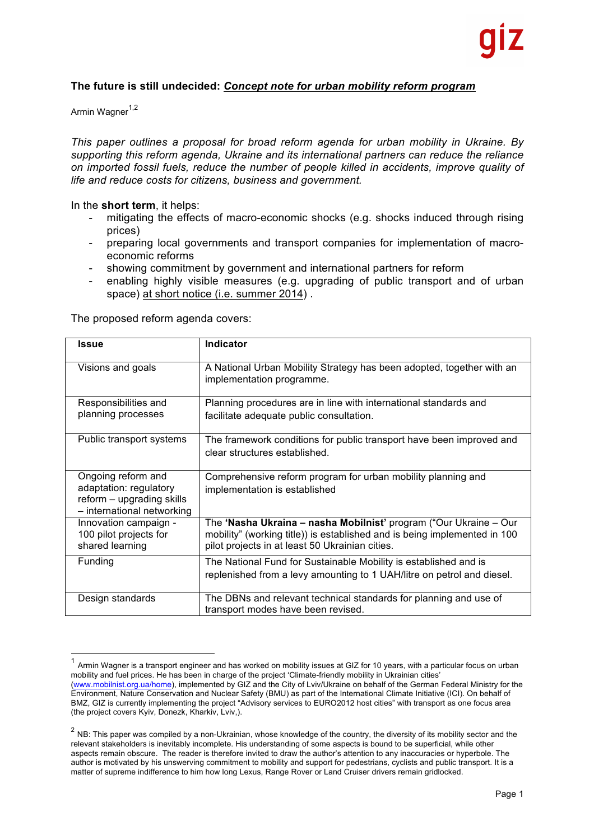### **The future is still undecided:** *Concept note for urban mobility reform program*

Armin Wagner<sup>1,2</sup>

*This paper outlines a proposal for broad reform agenda for urban mobility in Ukraine. By supporting this reform agenda, Ukraine and its international partners can reduce the reliance on imported fossil fuels, reduce the number of people killed in accidents, improve quality of life and reduce costs for citizens, business and government.* 

In the **short term**, it helps:

- mitigating the effects of macro-economic shocks (e.g. shocks induced through rising prices)
- preparing local governments and transport companies for implementation of macroeconomic reforms
- showing commitment by government and international partners for reform
- enabling highly visible measures (e.g. upgrading of public transport and of urban space) at short notice (i.e. summer 2014) .

The proposed reform agenda covers:

| <b>Issue</b>                                                                      | <b>Indicator</b>                                                                                                                               |
|-----------------------------------------------------------------------------------|------------------------------------------------------------------------------------------------------------------------------------------------|
| Visions and goals                                                                 | A National Urban Mobility Strategy has been adopted, together with an<br>implementation programme.                                             |
| Responsibilities and                                                              | Planning procedures are in line with international standards and                                                                               |
| planning processes                                                                | facilitate adequate public consultation.                                                                                                       |
| Public transport systems                                                          | The framework conditions for public transport have been improved and<br>clear structures established.                                          |
| Ongoing reform and                                                                | Comprehensive reform program for urban mobility planning and                                                                                   |
| adaptation: regulatory<br>reform - upgrading skills<br>- international networking | implementation is established                                                                                                                  |
| Innovation campaign -<br>100 pilot projects for                                   | The 'Nasha Ukraina - nasha Mobilnist' program ("Our Ukraine - Our<br>mobility" (working title)) is established and is being implemented in 100 |
| shared learning                                                                   | pilot projects in at least 50 Ukrainian cities.                                                                                                |
| Funding                                                                           | The National Fund for Sustainable Mobility is established and is<br>replenished from a levy amounting to 1 UAH/litre on petrol and diesel.     |
| Design standards                                                                  | The DBNs and relevant technical standards for planning and use of<br>transport modes have been revised.                                        |

 $1$  Armin Wagner is a transport engineer and has worked on mobility issues at GIZ for 10 years, with a particular focus on urban mobility and fuel prices. He has been in charge of the project 'Climate-friendly mobility in Ukrainian cities' (www.mobilnist.org.ua/home), implemented by GIZ and the City of Lviv/Ukraine on behalf of the German Federal Ministry for the Environment, Nature Conservation and Nuclear Safety (BMU) as part of the International Climate Initiative (ICI). On behalf of BMZ, GIZ is currently implementing the project "Advisory services to EURO2012 host cities" with transport as one focus area (the project covers Kyiv, Donezk, Kharkiv, Lviv,).

 $2$  NB: This paper was compiled by a non-Ukrainian, whose knowledge of the country, the diversity of its mobility sector and the relevant stakeholders is inevitably incomplete. His understanding of some aspects is bound to be superficial, while other aspects remain obscure. The reader is therefore invited to draw the author's attention to any inaccuracies or hyperbole. The author is motivated by his unswerving commitment to mobility and support for pedestrians, cyclists and public transport. It is a matter of supreme indifference to him how long Lexus, Range Rover or Land Cruiser drivers remain gridlocked.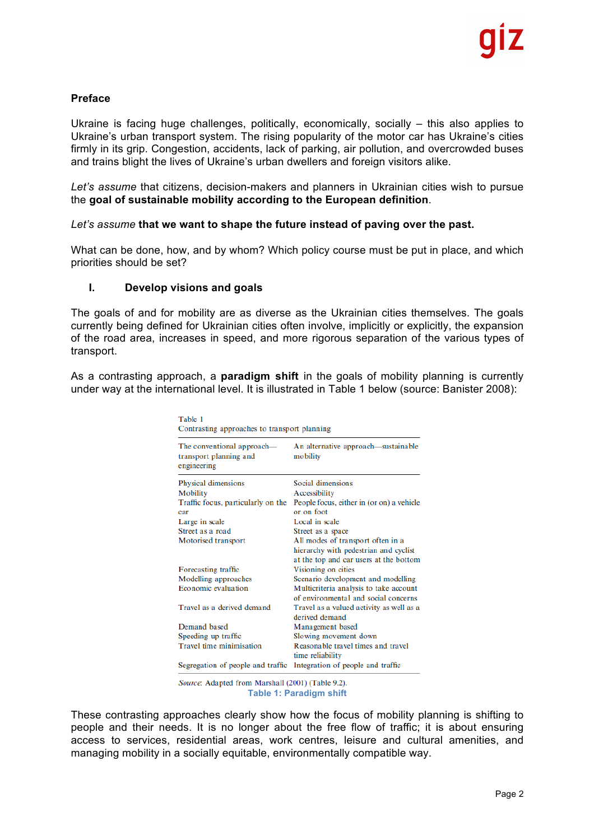### **Preface**

Ukraine is facing huge challenges, politically, economically, socially – this also applies to Ukraine's urban transport system. The rising popularity of the motor car has Ukraine's cities firmly in its grip. Congestion, accidents, lack of parking, air pollution, and overcrowded buses and trains blight the lives of Ukraine's urban dwellers and foreign visitors alike.

*Let's assume* that citizens, decision-makers and planners in Ukrainian cities wish to pursue the **goal of sustainable mobility according to the European definition**.

#### *Let's assume* **that we want to shape the future instead of paving over the past.**

What can be done, how, and by whom? Which policy course must be put in place, and which priorities should be set?

#### **I. Develop visions and goals**

The goals of and for mobility are as diverse as the Ukrainian cities themselves. The goals currently being defined for Ukrainian cities often involve, implicitly or explicitly, the expansion of the road area, increases in speed, and more rigorous separation of the various types of transport.

As a contrasting approach, a **paradigm shift** in the goals of mobility planning is currently under way at the international level. It is illustrated in Table 1 below (source: Banister 2008):

| Table 1<br>Contrasting approaches to transport planning             |                                                                                 |  |
|---------------------------------------------------------------------|---------------------------------------------------------------------------------|--|
| The conventional approach—<br>transport planning and<br>engineering | An alternative approach—sustainable<br>mobility                                 |  |
| Physical dimensions                                                 | Social dimensions                                                               |  |
| Mobility                                                            | Accessibility                                                                   |  |
| Traffic focus, particularly on the                                  | People focus, either in (or on) a vehicle                                       |  |
| car                                                                 | or on foot                                                                      |  |
| Large in scale                                                      | Local in scale                                                                  |  |
| Street as a road                                                    | Street as a space                                                               |  |
| Motorised transport                                                 | All modes of transport often in a                                               |  |
|                                                                     | hierarchy with pedestrian and cyclist<br>at the top and car users at the bottom |  |
| Forecasting traffic                                                 | Visioning on cities                                                             |  |
| Modelling approaches                                                | Scenario development and modelling                                              |  |
| Economic evaluation                                                 | Multicriteria analysis to take account                                          |  |
|                                                                     | of environmental and social concerns                                            |  |
| Travel as a derived demand                                          | Travel as a valued activity as well as a                                        |  |
|                                                                     | derived demand                                                                  |  |
| Demand based                                                        | Management based                                                                |  |
| Speeding up traffic                                                 | Slowing movement down                                                           |  |
| Travel time minimisation                                            | Reasonable travel times and travel<br>time reliability                          |  |
| Segregation of people and traffic                                   | Integration of people and traffic                                               |  |

Source: Adapted from Marshall (2001) (Table 9.2). **Table 1: Paradigm shift**

These contrasting approaches clearly show how the focus of mobility planning is shifting to people and their needs. It is no longer about the free flow of traffic; it is about ensuring access to services, residential areas, work centres, leisure and cultural amenities, and managing mobility in a socially equitable, environmentally compatible way.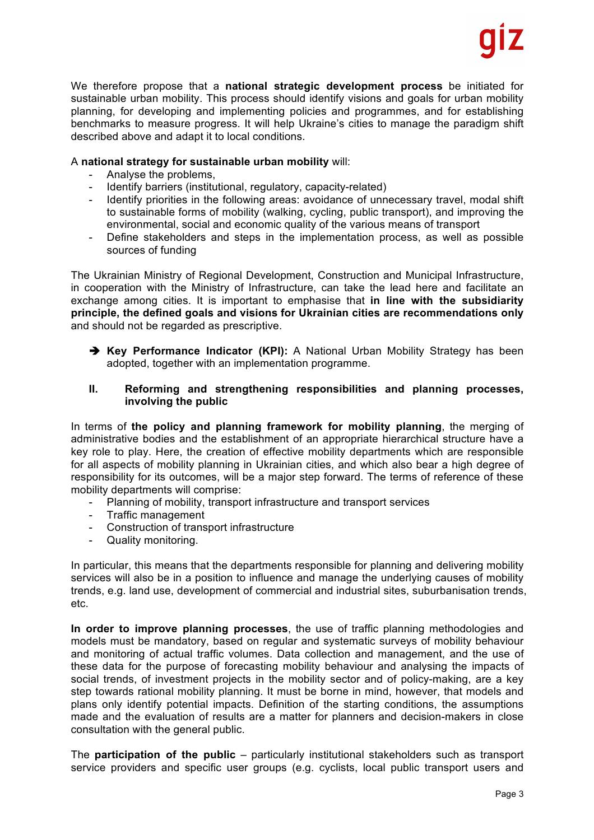We therefore propose that a **national strategic development process** be initiated for sustainable urban mobility. This process should identify visions and goals for urban mobility planning, for developing and implementing policies and programmes, and for establishing benchmarks to measure progress. It will help Ukraine's cities to manage the paradigm shift described above and adapt it to local conditions.

### A **national strategy for sustainable urban mobility** will:

- Analyse the problems.
- Identify barriers (institutional, regulatory, capacity-related)
- Identify priorities in the following areas: avoidance of unnecessary travel, modal shift to sustainable forms of mobility (walking, cycling, public transport), and improving the environmental, social and economic quality of the various means of transport
- Define stakeholders and steps in the implementation process, as well as possible sources of funding

The Ukrainian Ministry of Regional Development, Construction and Municipal Infrastructure, in cooperation with the Ministry of Infrastructure, can take the lead here and facilitate an exchange among cities. It is important to emphasise that **in line with the subsidiarity principle, the defined goals and visions for Ukrainian cities are recommendations only** and should not be regarded as prescriptive.

 $\rightarrow$  **Key Performance Indicator (KPI):** A National Urban Mobility Strategy has been adopted, together with an implementation programme.

### **II. Reforming and strengthening responsibilities and planning processes, involving the public**

In terms of **the policy and planning framework for mobility planning**, the merging of administrative bodies and the establishment of an appropriate hierarchical structure have a key role to play. Here, the creation of effective mobility departments which are responsible for all aspects of mobility planning in Ukrainian cities, and which also bear a high degree of responsibility for its outcomes, will be a major step forward. The terms of reference of these mobility departments will comprise:

- Planning of mobility, transport infrastructure and transport services
- Traffic management
- Construction of transport infrastructure
- Quality monitoring.

In particular, this means that the departments responsible for planning and delivering mobility services will also be in a position to influence and manage the underlying causes of mobility trends, e.g. land use, development of commercial and industrial sites, suburbanisation trends, etc.

**In order to improve planning processes**, the use of traffic planning methodologies and models must be mandatory, based on regular and systematic surveys of mobility behaviour and monitoring of actual traffic volumes. Data collection and management, and the use of these data for the purpose of forecasting mobility behaviour and analysing the impacts of social trends, of investment projects in the mobility sector and of policy-making, are a key step towards rational mobility planning. It must be borne in mind, however, that models and plans only identify potential impacts. Definition of the starting conditions, the assumptions made and the evaluation of results are a matter for planners and decision-makers in close consultation with the general public.

The **participation of the public** – particularly institutional stakeholders such as transport service providers and specific user groups (e.g. cyclists, local public transport users and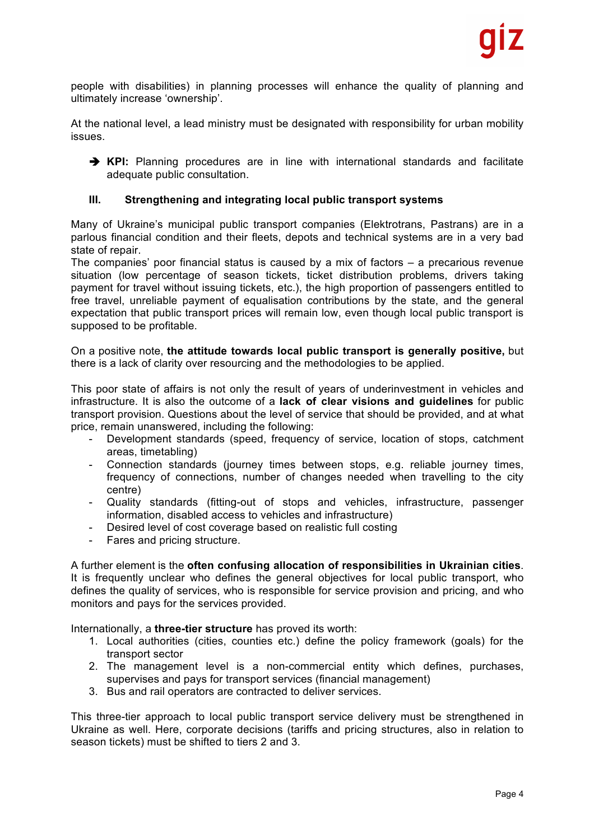people with disabilities) in planning processes will enhance the quality of planning and ultimately increase 'ownership'.

At the national level, a lead ministry must be designated with responsibility for urban mobility issues.

è **KPI:** Planning procedures are in line with international standards and facilitate adequate public consultation.

#### **III. Strengthening and integrating local public transport systems**

Many of Ukraine's municipal public transport companies (Elektrotrans, Pastrans) are in a parlous financial condition and their fleets, depots and technical systems are in a very bad state of repair.

The companies' poor financial status is caused by a mix of factors – a precarious revenue situation (low percentage of season tickets, ticket distribution problems, drivers taking payment for travel without issuing tickets, etc.), the high proportion of passengers entitled to free travel, unreliable payment of equalisation contributions by the state, and the general expectation that public transport prices will remain low, even though local public transport is supposed to be profitable.

On a positive note, **the attitude towards local public transport is generally positive,** but there is a lack of clarity over resourcing and the methodologies to be applied.

This poor state of affairs is not only the result of years of underinvestment in vehicles and infrastructure. It is also the outcome of a **lack of clear visions and guidelines** for public transport provision. Questions about the level of service that should be provided, and at what price, remain unanswered, including the following:

- Development standards (speed, frequency of service, location of stops, catchment areas, timetabling)
- Connection standards (journey times between stops, e.g. reliable journey times, frequency of connections, number of changes needed when travelling to the city centre)
- Quality standards (fitting-out of stops and vehicles, infrastructure, passenger information, disabled access to vehicles and infrastructure)
- Desired level of cost coverage based on realistic full costing
- Fares and pricing structure.

A further element is the **often confusing allocation of responsibilities in Ukrainian cities**. It is frequently unclear who defines the general objectives for local public transport, who defines the quality of services, who is responsible for service provision and pricing, and who monitors and pays for the services provided.

Internationally, a **three-tier structure** has proved its worth:

- 1. Local authorities (cities, counties etc.) define the policy framework (goals) for the transport sector
- 2. The management level is a non-commercial entity which defines, purchases, supervises and pays for transport services (financial management)
- 3. Bus and rail operators are contracted to deliver services.

This three-tier approach to local public transport service delivery must be strengthened in Ukraine as well. Here, corporate decisions (tariffs and pricing structures, also in relation to season tickets) must be shifted to tiers 2 and 3.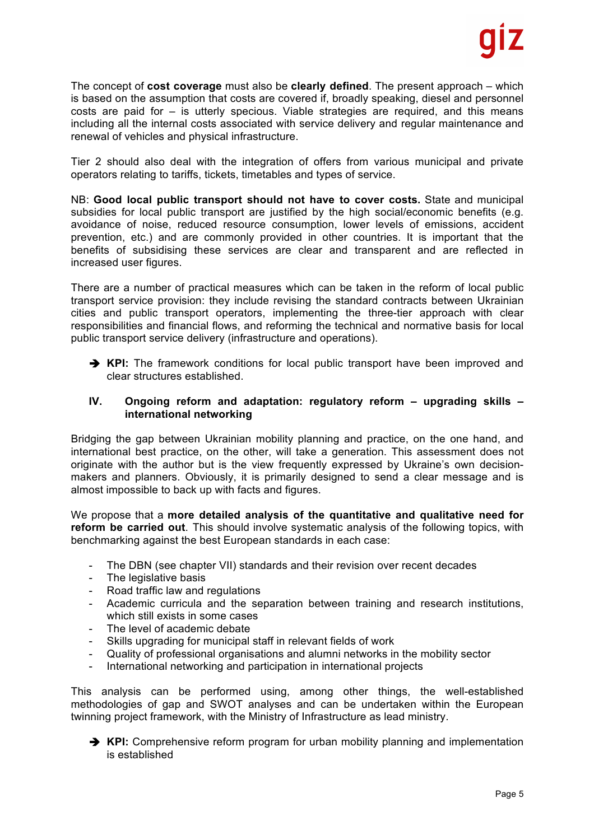The concept of **cost coverage** must also be **clearly defined**. The present approach – which is based on the assumption that costs are covered if, broadly speaking, diesel and personnel costs are paid for – is utterly specious. Viable strategies are required, and this means including all the internal costs associated with service delivery and regular maintenance and renewal of vehicles and physical infrastructure.

Tier 2 should also deal with the integration of offers from various municipal and private operators relating to tariffs, tickets, timetables and types of service.

NB: **Good local public transport should not have to cover costs.** State and municipal subsidies for local public transport are justified by the high social/economic benefits (e.g. avoidance of noise, reduced resource consumption, lower levels of emissions, accident prevention, etc.) and are commonly provided in other countries. It is important that the benefits of subsidising these services are clear and transparent and are reflected in increased user figures.

There are a number of practical measures which can be taken in the reform of local public transport service provision: they include revising the standard contracts between Ukrainian cities and public transport operators, implementing the three-tier approach with clear responsibilities and financial flows, and reforming the technical and normative basis for local public transport service delivery (infrastructure and operations).

è **KPI:** The framework conditions for local public transport have been improved and clear structures established.

### **IV. Ongoing reform and adaptation: regulatory reform – upgrading skills – international networking**

Bridging the gap between Ukrainian mobility planning and practice, on the one hand, and international best practice, on the other, will take a generation. This assessment does not originate with the author but is the view frequently expressed by Ukraine's own decisionmakers and planners. Obviously, it is primarily designed to send a clear message and is almost impossible to back up with facts and figures.

We propose that a **more detailed analysis of the quantitative and qualitative need for reform be carried out**. This should involve systematic analysis of the following topics, with benchmarking against the best European standards in each case:

- The DBN (see chapter VII) standards and their revision over recent decades
- The legislative basis
- Road traffic law and regulations
- Academic curricula and the separation between training and research institutions, which still exists in some cases
- The level of academic debate
- Skills upgrading for municipal staff in relevant fields of work
- Quality of professional organisations and alumni networks in the mobility sector
- International networking and participation in international projects

This analysis can be performed using, among other things, the well-established methodologies of gap and SWOT analyses and can be undertaken within the European twinning project framework, with the Ministry of Infrastructure as lead ministry.



 $\rightarrow$  **KPI:** Comprehensive reform program for urban mobility planning and implementation is established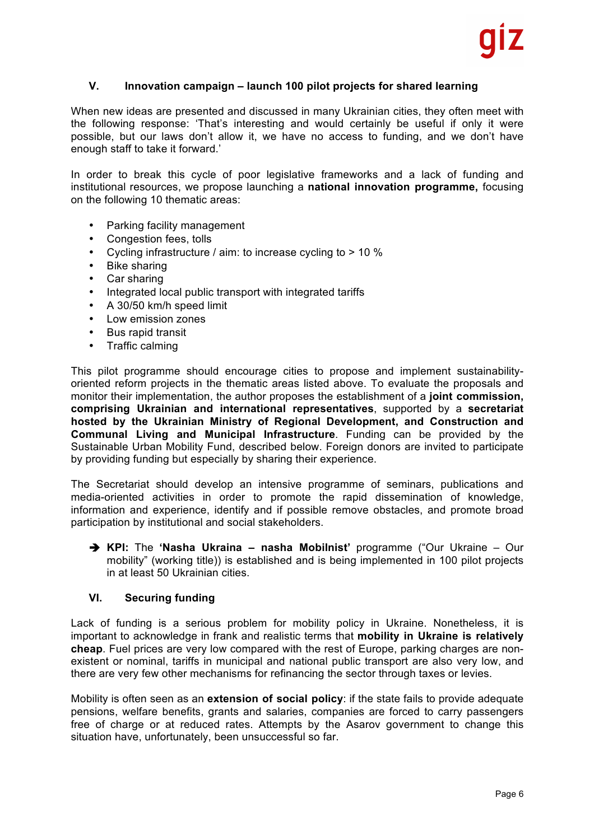### **V. Innovation campaign – launch 100 pilot projects for shared learning**

When new ideas are presented and discussed in many Ukrainian cities, they often meet with the following response: 'That's interesting and would certainly be useful if only it were possible, but our laws don't allow it, we have no access to funding, and we don't have enough staff to take it forward.'

In order to break this cycle of poor legislative frameworks and a lack of funding and institutional resources, we propose launching a **national innovation programme,** focusing on the following 10 thematic areas:

- Parking facility management
- Congestion fees, tolls
- Cycling infrastructure / aim: to increase cycling to > 10 %
- Bike sharing
- Car sharing
- Integrated local public transport with integrated tariffs
- A 30/50 km/h speed limit
- Low emission zones
- Bus rapid transit
- Traffic calming

This pilot programme should encourage cities to propose and implement sustainabilityoriented reform projects in the thematic areas listed above. To evaluate the proposals and monitor their implementation, the author proposes the establishment of a **joint commission, comprising Ukrainian and international representatives**, supported by a **secretariat hosted by the Ukrainian Ministry of Regional Development, and Construction and Communal Living and Municipal Infrastructure**. Funding can be provided by the Sustainable Urban Mobility Fund, described below. Foreign donors are invited to participate by providing funding but especially by sharing their experience.

The Secretariat should develop an intensive programme of seminars, publications and media-oriented activities in order to promote the rapid dissemination of knowledge, information and experience, identify and if possible remove obstacles, and promote broad participation by institutional and social stakeholders.

è **KPI:** The **'Nasha Ukraina – nasha Mobilnist'** programme ("Our Ukraine – Our mobility" (working title)) is established and is being implemented in 100 pilot projects in at least 50 Ukrainian cities.

## **VI. Securing funding**

Lack of funding is a serious problem for mobility policy in Ukraine. Nonetheless, it is important to acknowledge in frank and realistic terms that **mobility in Ukraine is relatively cheap**. Fuel prices are very low compared with the rest of Europe, parking charges are nonexistent or nominal, tariffs in municipal and national public transport are also very low, and there are very few other mechanisms for refinancing the sector through taxes or levies.

Mobility is often seen as an **extension of social policy**: if the state fails to provide adequate pensions, welfare benefits, grants and salaries, companies are forced to carry passengers free of charge or at reduced rates. Attempts by the Asarov government to change this situation have, unfortunately, been unsuccessful so far.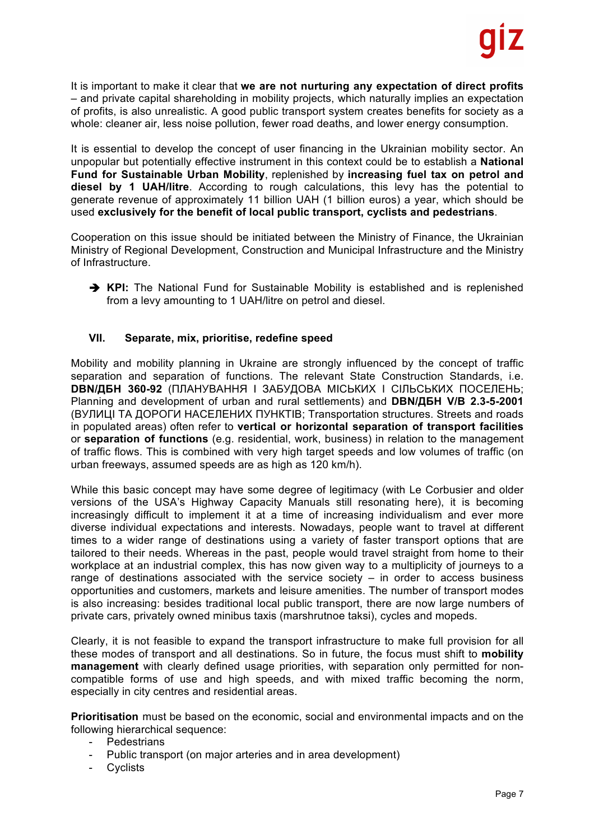It is important to make it clear that **we are not nurturing any expectation of direct profits**  – and private capital shareholding in mobility projects, which naturally implies an expectation of profits, is also unrealistic. A good public transport system creates benefits for society as a whole: cleaner air, less noise pollution, fewer road deaths, and lower energy consumption.

It is essential to develop the concept of user financing in the Ukrainian mobility sector. An unpopular but potentially effective instrument in this context could be to establish a **National Fund for Sustainable Urban Mobility**, replenished by **increasing fuel tax on petrol and diesel by 1 UAH/litre**. According to rough calculations, this levy has the potential to generate revenue of approximately 11 billion UAH (1 billion euros) a year, which should be used **exclusively for the benefit of local public transport, cyclists and pedestrians**.

Cooperation on this issue should be initiated between the Ministry of Finance, the Ukrainian Ministry of Regional Development, Construction and Municipal Infrastructure and the Ministry of Infrastructure.

è **KPI:** The National Fund for Sustainable Mobility is established and is replenished from a levy amounting to 1 UAH/litre on petrol and diesel.

# **VII. Separate, mix, prioritise, redefine speed**

Mobility and mobility planning in Ukraine are strongly influenced by the concept of traffic separation and separation of functions. The relevant State Construction Standards, i.e. **DBN/ДБН 360-92** (ПЛАНУВАННЯ І ЗАБУДОВА МІСЬКИХ І СІЛЬСЬКИХ ПОСЕЛЕНЬ; Planning and development of urban and rural settlements) and **DBN/ДБН V/B 2.3-5-2001** (ВУЛИЦІ ТА ДОРОГИ НАСЕЛЕНИХ ПУНКТІВ; Transportation structures. Streets and roads in populated areas) often refer to **vertical or horizontal separation of transport facilities** or **separation of functions** (e.g. residential, work, business) in relation to the management of traffic flows. This is combined with very high target speeds and low volumes of traffic (on urban freeways, assumed speeds are as high as 120 km/h).

While this basic concept may have some degree of legitimacy (with Le Corbusier and older versions of the USA's Highway Capacity Manuals still resonating here), it is becoming increasingly difficult to implement it at a time of increasing individualism and ever more diverse individual expectations and interests. Nowadays, people want to travel at different times to a wider range of destinations using a variety of faster transport options that are tailored to their needs. Whereas in the past, people would travel straight from home to their workplace at an industrial complex, this has now given way to a multiplicity of journeys to a range of destinations associated with the service society  $-$  in order to access business opportunities and customers, markets and leisure amenities. The number of transport modes is also increasing: besides traditional local public transport, there are now large numbers of private cars, privately owned minibus taxis (marshrutnoe taksi), cycles and mopeds.

Clearly, it is not feasible to expand the transport infrastructure to make full provision for all these modes of transport and all destinations. So in future, the focus must shift to **mobility management** with clearly defined usage priorities, with separation only permitted for noncompatible forms of use and high speeds, and with mixed traffic becoming the norm, especially in city centres and residential areas.

**Prioritisation** must be based on the economic, social and environmental impacts and on the following hierarchical sequence:

- Pedestrians
- Public transport (on major arteries and in area development)
- Cyclists